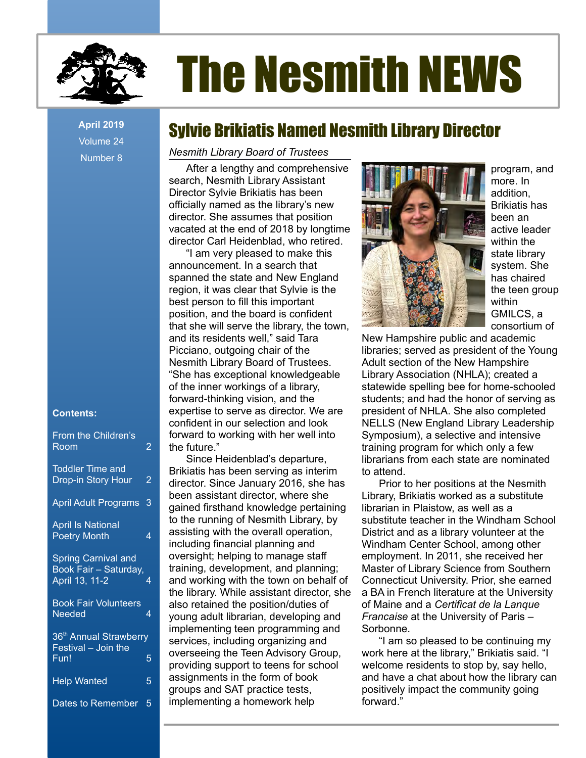

# The Nesmith NEWS

Volume 24 Number 8

### **Contents:**

| From the Children's<br>Room                                           | 2 |
|-----------------------------------------------------------------------|---|
| <b>Toddler Time and</b><br>Drop-in Story Hour                         | 2 |
| <b>April Adult Programs</b>                                           | 3 |
| <b>April Is National</b><br><b>Poetry Month</b>                       | 4 |
| <b>Spring Carnival and</b><br>Book Fair - Saturday,<br>April 13, 11-2 |   |
| <b>Book Fair Volunteers</b><br>Needed                                 | 4 |
| 36 <sup>th</sup> Annual Strawberry<br>Festival - Join the<br>$F$ un!  | 5 |
| <b>Help Wanted</b>                                                    | 5 |
| Dates to Remember                                                     | 5 |

# April 2019 **Sylvie Brikiatis Named Nesmith Library Director**

### *Nesmith Library Board of Trustees*

After a lengthy and comprehensive search, Nesmith Library Assistant Director Sylvie Brikiatis has been officially named as the library's new director. She assumes that position vacated at the end of 2018 by longtime director Carl Heidenblad, who retired.

"I am very pleased to make this announcement. In a search that spanned the state and New England region, it was clear that Sylvie is the best person to fill this important position, and the board is confident that she will serve the library, the town, and its residents well," said Tara Picciano, outgoing chair of the Nesmith Library Board of Trustees. "She has exceptional knowledgeable of the inner workings of a library, forward-thinking vision, and the expertise to serve as director. We are confident in our selection and look forward to working with her well into the future."

Since Heidenblad's departure, Brikiatis has been serving as interim director. Since January 2016, she has been assistant director, where she gained firsthand knowledge pertaining to the running of Nesmith Library, by assisting with the overall operation, including financial planning and oversight; helping to manage staff training, development, and planning; and working with the town on behalf of the library. While assistant director, she also retained the position/duties of young adult librarian, developing and implementing teen programming and services, including organizing and overseeing the Teen Advisory Group, providing support to teens for school assignments in the form of book groups and SAT practice tests, implementing a homework help



program, and more. In addition, Brikiatis has been an active leader within the state library system. She has chaired the teen group within GMILCS, a consortium of

New Hampshire public and academic libraries; served as president of the Young Adult section of the New Hampshire Library Association (NHLA); created a statewide spelling bee for home-schooled students; and had the honor of serving as president of NHLA. She also completed NELLS (New England Library Leadership Symposium), a selective and intensive training program for which only a few librarians from each state are nominated to attend.

Prior to her positions at the Nesmith Library, Brikiatis worked as a substitute librarian in Plaistow, as well as a substitute teacher in the Windham School District and as a library volunteer at the Windham Center School, among other employment. In 2011, she received her Master of Library Science from Southern Connecticut University. Prior, she earned a BA in French literature at the University of Maine and a *Certificat de la Lanque Francaise* at the University of Paris – Sorbonne.

"I am so pleased to be continuing my work here at the library," Brikiatis said. "I welcome residents to stop by, say hello, and have a chat about how the library can positively impact the community going forward."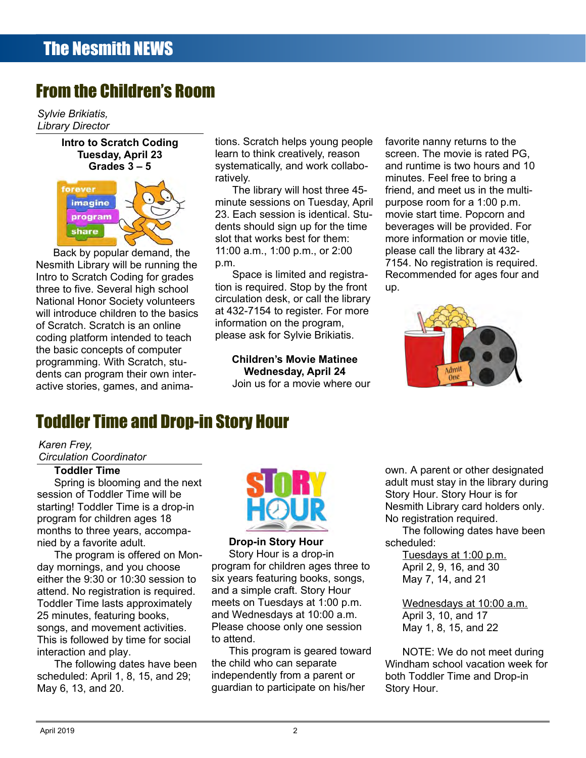# From the Children's Room

*Sylvie Brikiatis, Library Director*



forever imagine program share

Back by popular demand, the Nesmith Library will be running the Intro to Scratch Coding for grades three to five. Several high school National Honor Society volunteers will introduce children to the basics of Scratch. Scratch is an online coding platform intended to teach the basic concepts of computer programming. With Scratch, students can program their own interactive stories, games, and animations. Scratch helps young people learn to think creatively, reason systematically, and work collaboratively.

The library will host three 45 minute sessions on Tuesday, April 23. Each session is identical. Students should sign up for the time slot that works best for them: 11:00 a.m., 1:00 p.m., or 2:00 p.m.

Space is limited and registration is required. Stop by the front circulation desk, or call the library at 432-7154 to register. For more information on the program, please ask for Sylvie Brikiatis.

> **Children's Movie Matinee Wednesday, April 24** Join us for a movie where our

favorite nanny returns to the screen. The movie is rated PG, and runtime is two hours and 10 minutes. Feel free to bring a friend, and meet us in the multipurpose room for a 1:00 p.m. movie start time. Popcorn and beverages will be provided. For more information or movie title, please call the library at 432- 7154. No registration is required. Recommended for ages four and up.



# Toddler Time and Drop-in Story Hour

#### *Karen Frey, Circulation Coordinator*

### **Toddler Time**

Spring is blooming and the next session of Toddler Time will be starting! Toddler Time is a drop-in program for children ages 18 months to three years, accompanied by a favorite adult.

The program is offered on Monday mornings, and you choose either the 9:30 or 10:30 session to attend. No registration is required. Toddler Time lasts approximately 25 minutes, featuring books, songs, and movement activities. This is followed by time for social interaction and play.

The following dates have been scheduled: April 1, 8, 15, and 29; May 6, 13, and 20.



### **Drop-in Story Hour**

Story Hour is a drop-in program for children ages three to six years featuring books, songs, and a simple craft. Story Hour meets on Tuesdays at 1:00 p.m. and Wednesdays at 10:00 a.m. Please choose only one session to attend.

This program is geared toward the child who can separate independently from a parent or guardian to participate on his/her

own. A parent or other designated adult must stay in the library during Story Hour. Story Hour is for Nesmith Library card holders only. No registration required.

The following dates have been scheduled:

> Tuesdays at 1:00 p.m. April 2, 9, 16, and 30 May 7, 14, and 21

Wednesdays at 10:00 a.m. April 3, 10, and 17 May 1, 8, 15, and 22

NOTE: We do not meet during Windham school vacation week for both Toddler Time and Drop-in Story Hour.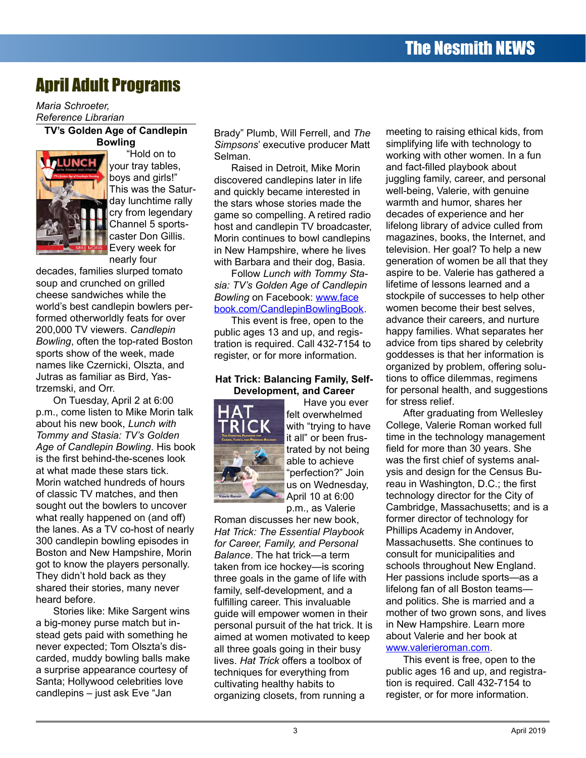# April Adult Programs

*Maria Schroeter, Reference Librarian*

### **TV's Golden Age of Candlepin Bowling**



"Hold on to your tray tables, boys and girls!" This was the Saturday lunchtime rally cry from legendary Channel 5 sportscaster Don Gillis. Every week for nearly four

decades, families slurped tomato soup and crunched on grilled cheese sandwiches while the world's best candlepin bowlers performed otherworldly feats for over 200,000 TV viewers. *Candlepin Bowling*, often the top-rated Boston sports show of the week, made names like Czernicki, Olszta, and Jutras as familiar as Bird, Yastrzemski, and Orr.

On Tuesday, April 2 at 6:00 p.m., come listen to Mike Morin talk about his new book, *Lunch with Tommy and Stasia: TV's Golden Age of Candlepin Bowling*. His book is the first behind-the-scenes look at what made these stars tick. Morin watched hundreds of hours of classic TV matches, and then sought out the bowlers to uncover what really happened on (and off) the lanes. As a TV co-host of nearly 300 candlepin bowling episodes in Boston and New Hampshire, Morin got to know the players personally. They didn't hold back as they shared their stories, many never heard before.

Stories like: Mike Sargent wins a big-money purse match but instead gets paid with something he never expected; Tom Olszta's discarded, muddy bowling balls make a surprise appearance courtesy of Santa; Hollywood celebrities love candlepins – just ask Eve "Jan

Brady" Plumb, Will Ferrell, and *The Simpsons*' executive producer Matt Selman.

Raised in Detroit, Mike Morin discovered candlepins later in life and quickly became interested in the stars whose stories made the game so compelling. A retired radio host and candlepin TV broadcaster, Morin continues to bowl candlepins in New Hampshire, where he lives with Barbara and their dog, Basia.

Follow *Lunch with Tommy Stasia: TV's Golden Age of Candlepin Bowling* on Facebook: [www.face](http://www.facebook.com/CandlepinBowlingBook) [book.com/CandlepinBowlingBook](http://www.facebook.com/CandlepinBowlingBook).

This event is free, open to the public ages 13 and up, and registration is required. Call 432-7154 to register, or for more information.

### **Hat Trick: Balancing Family, Self-Development, and Career**



Have you ever felt overwhelmed with "trying to have it all" or been frustrated by not being able to achieve "perfection?" Join us on Wednesday, April 10 at 6:00

p.m., as Valerie Roman discusses her new book, *Hat Trick: The Essential Playbook for Career, Family, and Personal Balance*. The hat trick—a term taken from ice hockey—is scoring three goals in the game of life with family, self-development, and a fulfilling career. This invaluable guide will empower women in their personal pursuit of the hat trick. It is aimed at women motivated to keep all three goals going in their busy lives. *Hat Trick* offers a toolbox of techniques for everything from cultivating healthy habits to organizing closets, from running a

meeting to raising ethical kids, from simplifying life with technology to working with other women. In a fun and fact-filled playbook about juggling family, career, and personal well-being, Valerie, with genuine warmth and humor, shares her decades of experience and her lifelong library of advice culled from magazines, books, the Internet, and television. Her goal? To help a new generation of women be all that they aspire to be. Valerie has gathered a lifetime of lessons learned and a stockpile of successes to help other women become their best selves, advance their careers, and nurture happy families. What separates her advice from tips shared by celebrity goddesses is that her information is organized by problem, offering solutions to office dilemmas, regimens for personal health, and suggestions for stress relief.

After graduating from Wellesley College, Valerie Roman worked full time in the technology management field for more than 30 years. She was the first chief of systems analysis and design for the Census Bureau in Washington, D.C.; the first technology director for the City of Cambridge, Massachusetts; and is a former director of technology for Phillips Academy in Andover, Massachusetts. She continues to consult for municipalities and schools throughout New England. Her passions include sports—as a lifelong fan of all Boston teams and politics. She is married and a mother of two grown sons, and lives in New Hampshire. Learn more about Valerie and her book at [www.valerieroman.com](http://www.valerieroman.com/).

This event is free, open to the public ages 16 and up, and registration is required. Call 432-7154 to register, or for more information.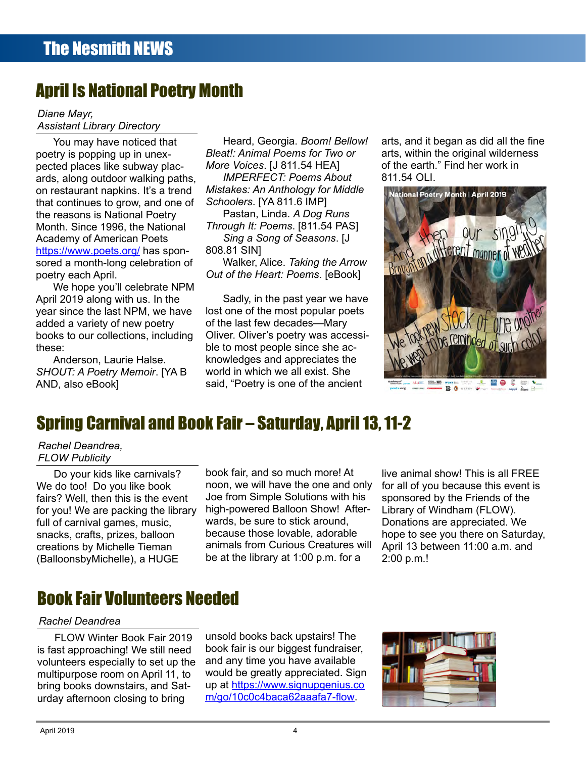# April Is National Poetry Month

#### *Diane Mayr, Assistant Library Directory*

You may have noticed that poetry is popping up in unexpected places like subway placards, along outdoor walking paths, on restaurant napkins. It's a trend that continues to grow, and one of the reasons is National Poetry Month. Since 1996, the National Academy of American Poets https://www.poets.org/ has sponsored a month-long celebration of poetry each April.

We hope you'll celebrate NPM April 2019 along with us. In the year since the last NPM, we have added a variety of new poetry books to our collections, including these:

Anderson, Laurie Halse. *SHOUT: A Poetry Memoir*. [YA B AND, also eBook]

Heard, Georgia. *Boom! Bellow! Bleat!: Animal Poems for Two or More Voices*. [J 811.54 HEA] *IMPERFECT: Poems About Mistakes: An Anthology for Middle Schoolers*. [YA 811.6 IMP] Pastan, Linda. *A Dog Runs Through It: Poems*. [811.54 PAS] *Sing a Song of Seasons*. [J 808.81 SIN]

Walker, Alice. *Taking the Arrow Out of the Heart: Poems*. [eBook]

Sadly, in the past year we have lost one of the most popular poets of the last few decades—Mary Oliver. Oliver's poetry was accessible to most people since she acknowledges and appreciates the world in which we all exist. She said, "Poetry is one of the ancient

arts, and it began as did all the fine arts, within the original wilderness of the earth." Find her work in 811.54 OLI.



# Spring Carnival and Book Fair – Saturday, April 13, 11-2

### *Rachel Deandrea, FLOW Publicity*

Do your kids like carnivals? We do too! Do you like book fairs? Well, then this is the event for you! We are packing the library full of carnival games, music, snacks, crafts, prizes, balloon creations by Michelle Tieman (BalloonsbyMichelle), a HUGE

book fair, and so much more! At noon, we will have the one and only Joe from Simple Solutions with his high-powered Balloon Show! Afterwards, be sure to stick around, because those lovable, adorable animals from Curious Creatures will be at the library at 1:00 p.m. for a

live animal show! This is all FREE for all of you because this event is sponsored by the Friends of the Library of Windham (FLOW). Donations are appreciated. We hope to see you there on Saturday, April 13 between 11:00 a.m. and 2:00 p.m.!

# Book Fair Volunteers Needed

### *Rachel Deandrea*

FLOW Winter Book Fair 2019 is fast approaching! We still need volunteers especially to set up the multipurpose room on April 11, to bring books downstairs, and Saturday afternoon closing to bring

unsold books back upstairs! The book fair is our biggest fundraiser, and any time you have available would be greatly appreciated. Sign up at [https://www.signupgenius.co](https://www.signupgenius.co/)  [m](https://www.signupgenius.com/)[/go/10c0c4baca62aaafa7-flow.](https://www.signupgenius.com/go/10c0c4baca62aaafa7-flow)